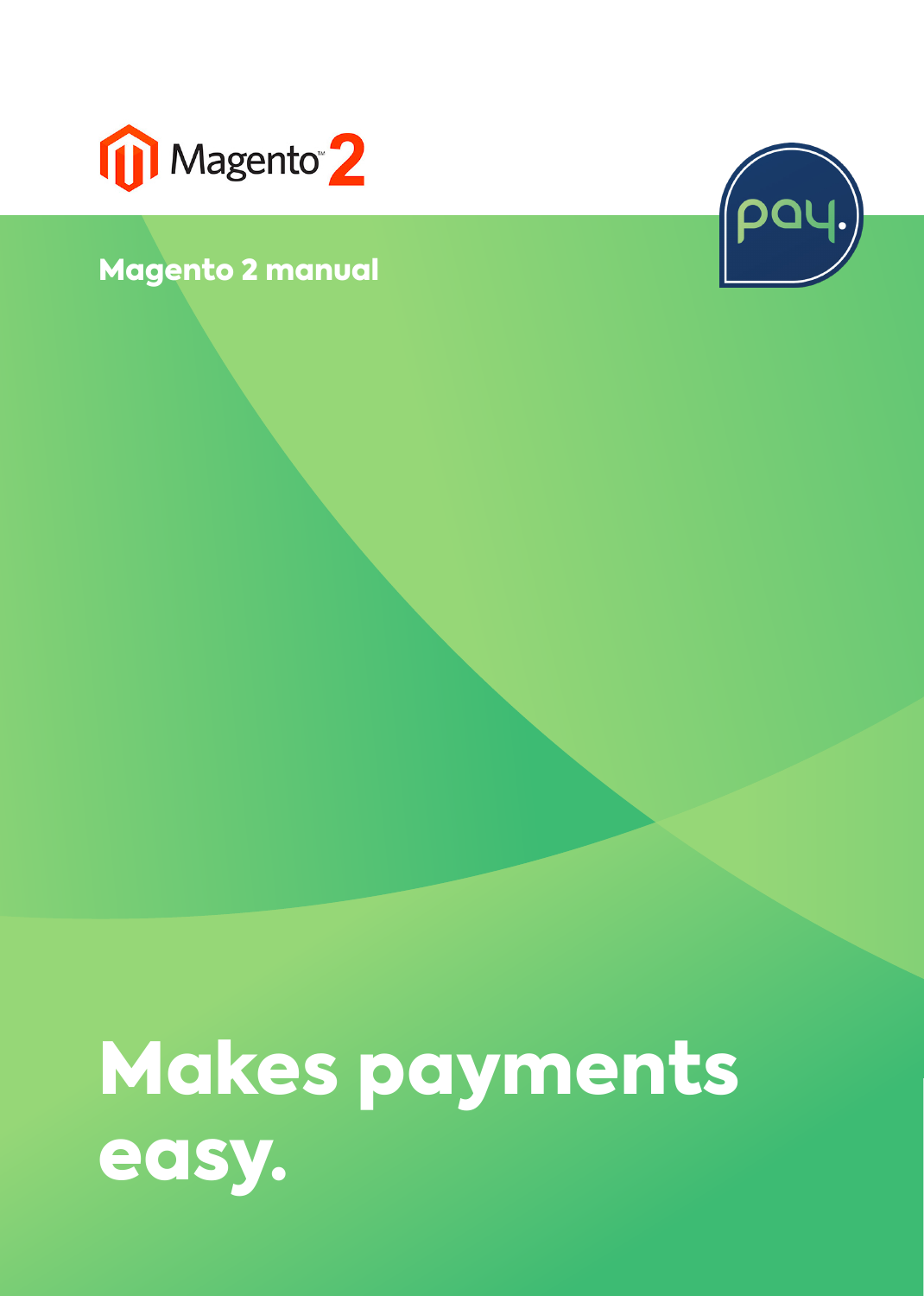

### Magento 2 manual



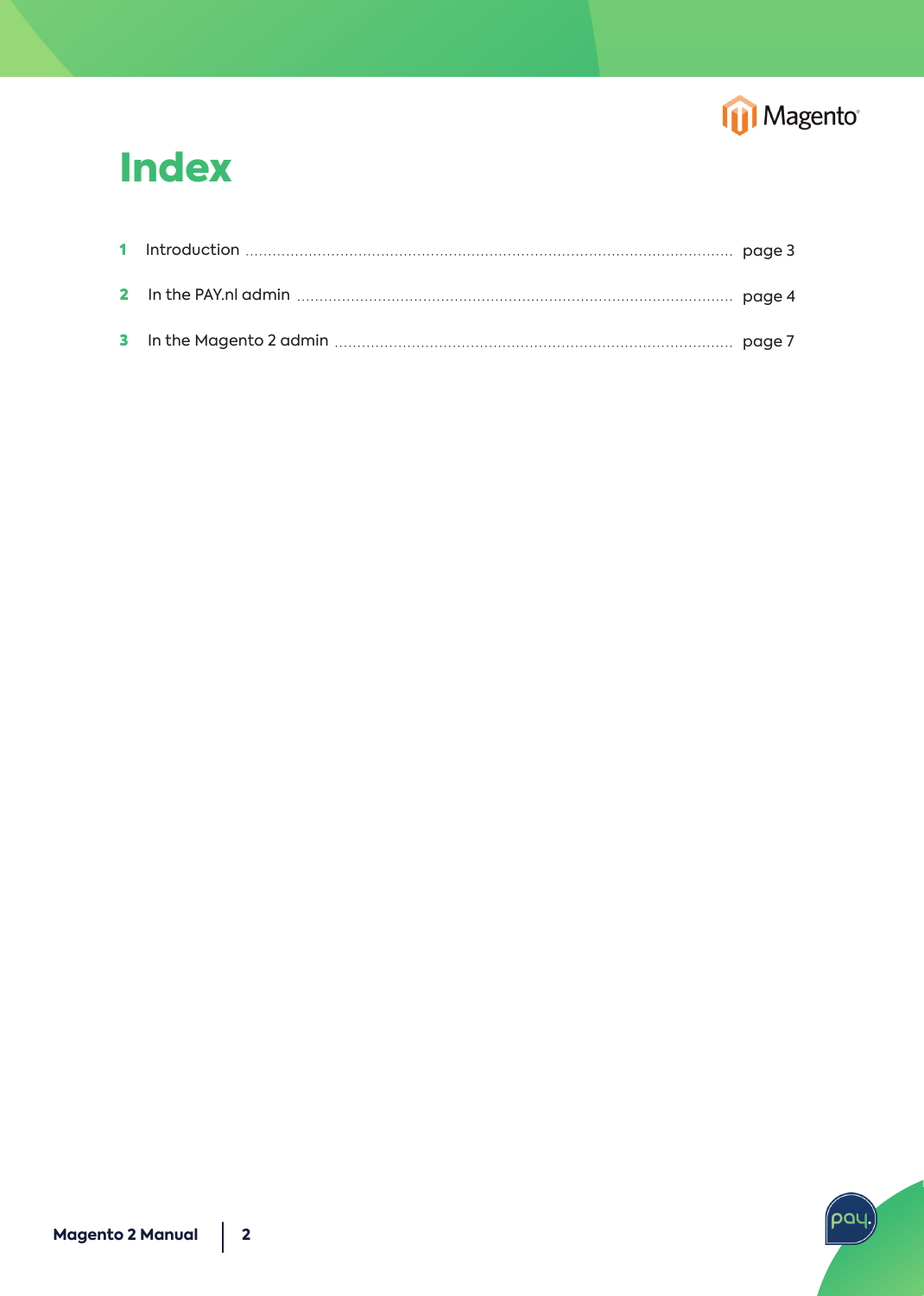

### **Index**

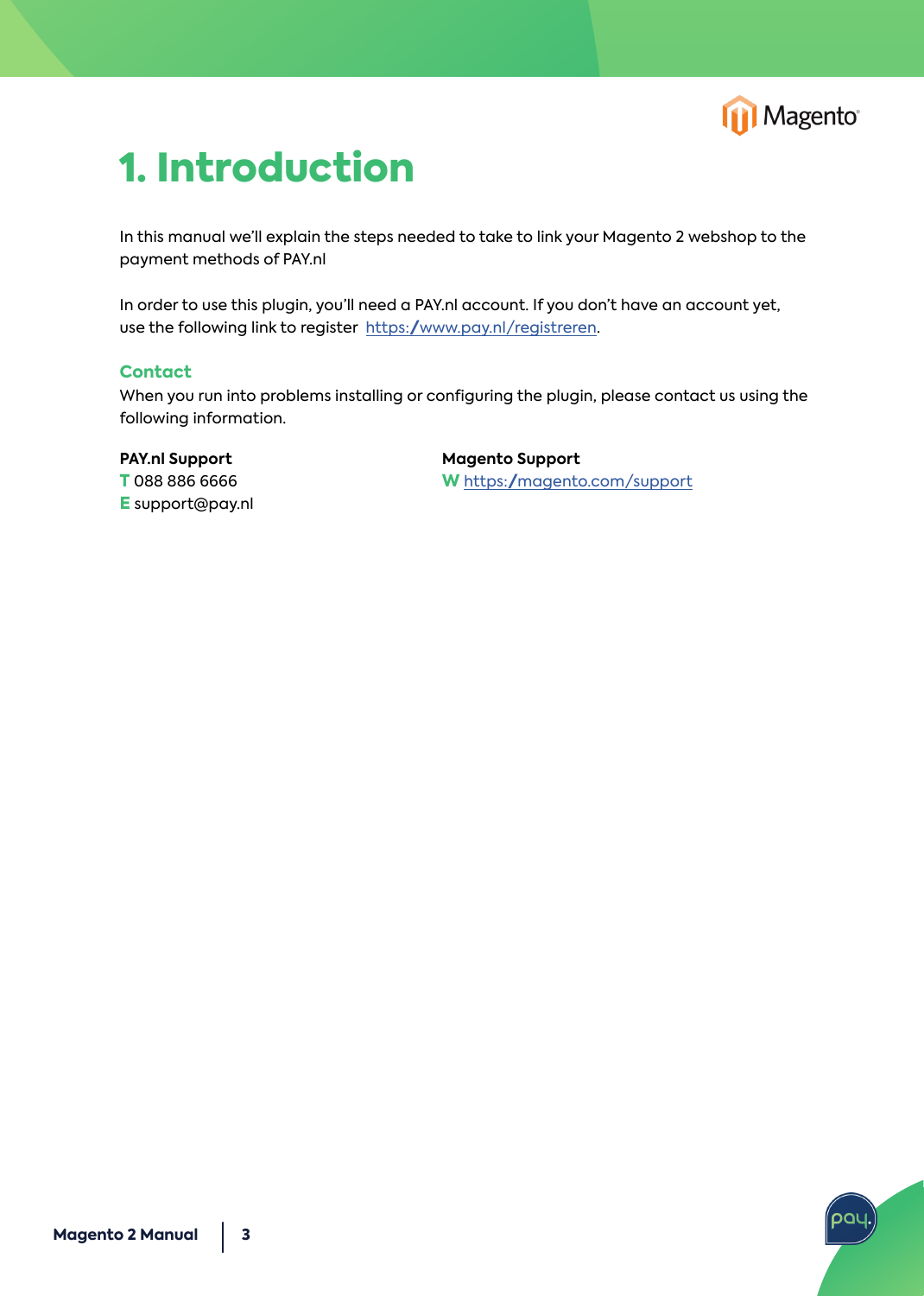

# 1. Introduction

In this manual we'll explain the steps needed to take to link your Magento 2 webshop to the payment methods of PAY.nl

In order to use this plugin, you'll need a PAY.nl account. If you don't have an account yet, use the following link to register https:/www.pay.nl/registreren.

### **Contact**

When you run into problems installing or configuring the plugin, please contact us using the following information.

**PAY.nl Support T** 088 886 6666 **E** support@pay.nl **Magento Support W** <https://magento.com/support>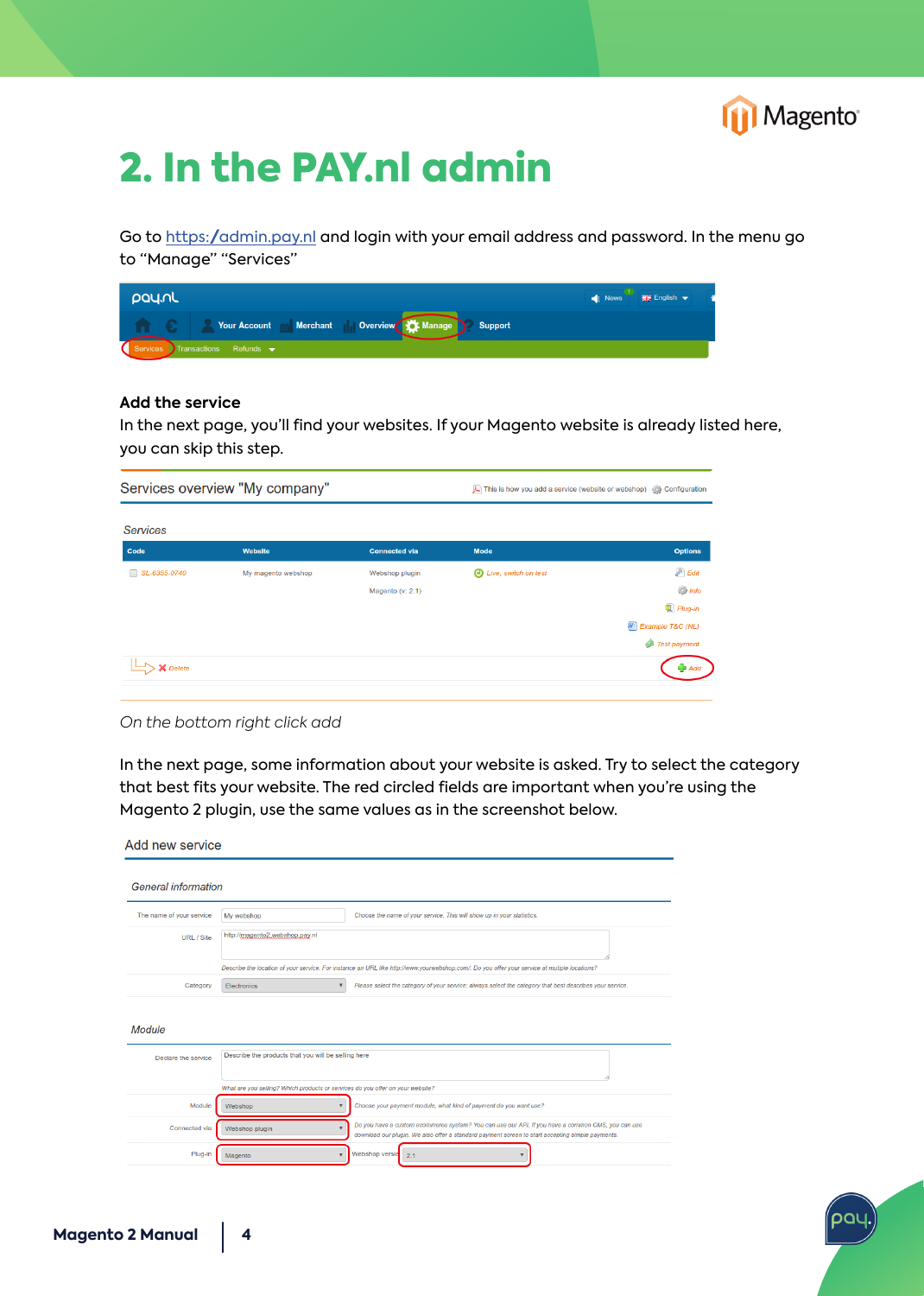

## 2. In the PAY.nl admin

Go to <https://admin.pay.nl>and login with your email address and password. In the menu go to "Manage" "Services"

| <b>L</b> pay.nl                                        | ■ News   開催 English ▼ |
|--------------------------------------------------------|-----------------------|
| Your Account de Merchant    Overview XX Manage Support |                       |
| Services Transactions Refunds v                        |                       |

#### **Add the service**

In the next page, you'll find your websites. If your Magento website is already listed here, you can skip this step.

| <b>Options</b>            |
|---------------------------|
| $\mathcal{P}$ Edit        |
| $\frac{1}{2}$ Info        |
| $Plug-in$                 |
| <b>W</b> Example T&C (NL) |
| Test payment              |
|                           |

*On the bottom right click add*

In the next page, some information about your website is asked. Try to select the category that best fits your website. The red circled fields are important when you're using the Magento 2 plugin, use the same values as in the screenshot below.

| <b>General information</b> |                                                                                                                                              |                                                                                                                                                                                                       |  |
|----------------------------|----------------------------------------------------------------------------------------------------------------------------------------------|-------------------------------------------------------------------------------------------------------------------------------------------------------------------------------------------------------|--|
| The name of your service   | My webshop                                                                                                                                   | Choose the name of your service. This will show up in your statistics.                                                                                                                                |  |
| URL / Site                 | http://magento2.webshop.pay.nl                                                                                                               |                                                                                                                                                                                                       |  |
|                            | Describe the location of your service. For instance an URL like http://www.yourwebshop.com/. Do you offer your service at mutiple locations? |                                                                                                                                                                                                       |  |
| Category                   | $\boldsymbol{\mathrm{v}}$<br>Electronics                                                                                                     | Please select the category of your service; always select the category that best describes your service.                                                                                              |  |
|                            |                                                                                                                                              |                                                                                                                                                                                                       |  |
| Declare the service        | Describe the products that you will be selling here                                                                                          |                                                                                                                                                                                                       |  |
|                            |                                                                                                                                              |                                                                                                                                                                                                       |  |
|                            | What are you selling? Which products or services do you offer on your website?                                                               |                                                                                                                                                                                                       |  |
| Module                     | Webshop                                                                                                                                      | Choose your payment module, what kind of payment do you want use?                                                                                                                                     |  |
| Module<br>Connected via    | Webshop plugin                                                                                                                               | Do you have a custom ecommerce system? You can use our API. If you have a common CMS, you can use<br>download our plugin. We also offer a standard payment screen to start accepting simple payments. |  |

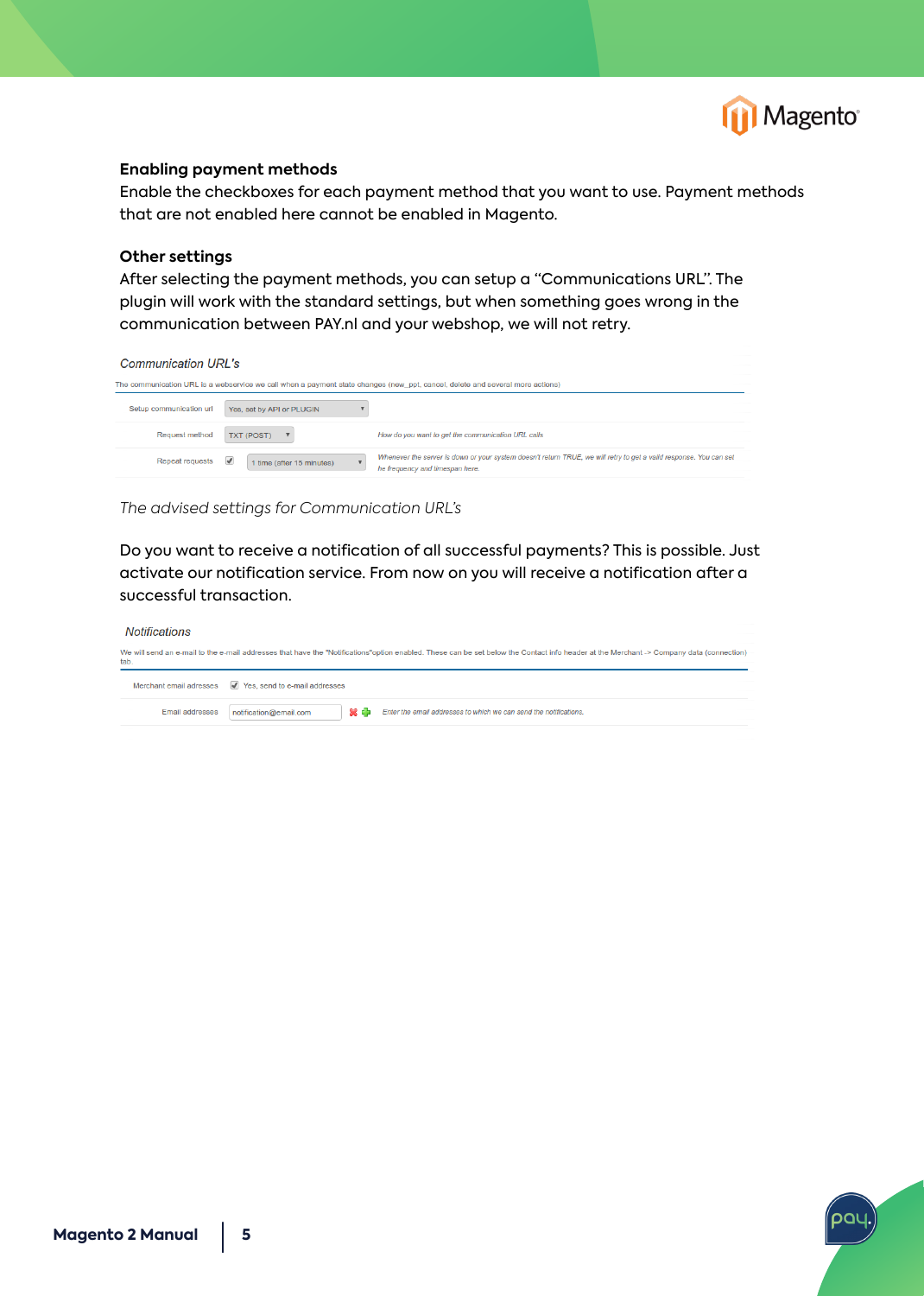

#### **Enabling payment methods**

Enable the checkboxes for each payment method that you want to use. Payment methods that are not enabled here cannot be enabled in Magento.

#### **Other settings**

After selecting the payment methods, you can setup a "Communications URL". The plugin will work with the standard settings, but when something goes wrong in the communication between PAY.nl and your webshop, we will not retry.

| Communication URL's                                                                                                           |                                             |                                                                                                                                                       |  |  |  |
|-------------------------------------------------------------------------------------------------------------------------------|---------------------------------------------|-------------------------------------------------------------------------------------------------------------------------------------------------------|--|--|--|
| The communication URL is a webservice we call when a payment state changes (new ppt, cancel, delete and several more actions) |                                             |                                                                                                                                                       |  |  |  |
| Setup communication url                                                                                                       | Yes, set by API or PLUGIN                   |                                                                                                                                                       |  |  |  |
| <b>Request method</b>                                                                                                         | <b>TXT (POST)</b>                           | How do you want to get the communication URL calls                                                                                                    |  |  |  |
| <b>Repeat requests</b>                                                                                                        | $\overline{v}$<br>1 time (after 15 minutes) | Whenever the server is down or your system doesn't return TRUE, we will retry to get a valid response. You can set<br>he frequency and timespan here. |  |  |  |

*The advised settings for Communication URL's*

Do you want to receive a notification of all successful payments? This is possible. Just activate our notification service. From now on you will receive a notification after a successful transaction.

| Notifications          |                                                                                                                                                                                         |
|------------------------|-----------------------------------------------------------------------------------------------------------------------------------------------------------------------------------------|
| tab.                   | We will send an e-mail to the e-mail addresses that have the "Notifications"option enabled. These can be set below the Contact info header at the Merchant -> Company data (connection) |
|                        | Merchant email adresses V Yes, send to e-mail addresses                                                                                                                                 |
| <b>Email addresses</b> | 業業<br>Enter the email addresses to which we can send the notifications.<br>notification@email.com                                                                                       |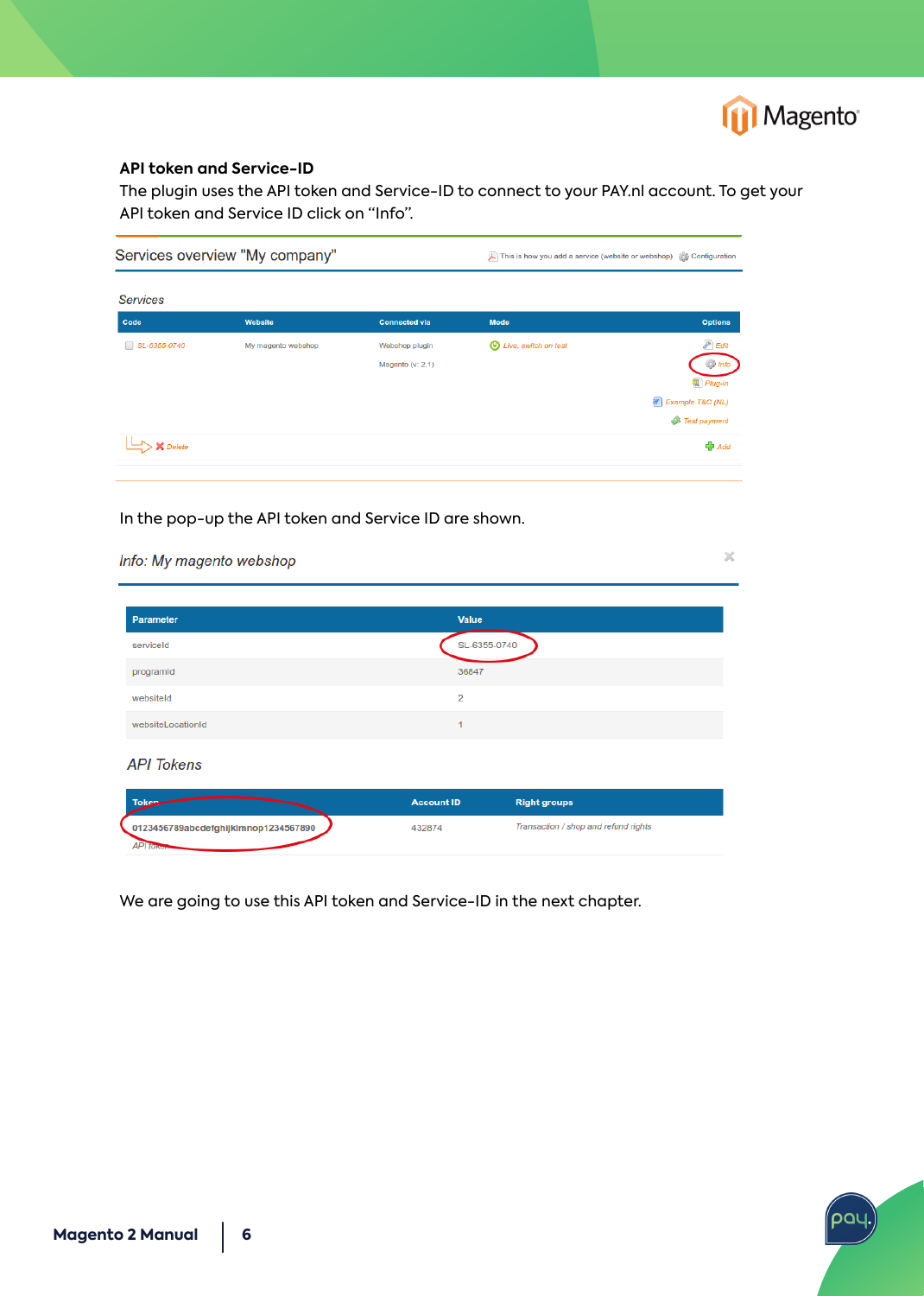

pal

#### **API token and Service-ID**

The plugin uses the API token and Service-ID to connect to your PAY.nl account. To get your API token and Service ID click on "Info".

| Services overview "My company" |                    |                                    | This is how you add a service (website or webshop) and Configuration |                                                                                                  |
|--------------------------------|--------------------|------------------------------------|----------------------------------------------------------------------|--------------------------------------------------------------------------------------------------|
| <b>Services</b>                |                    |                                    |                                                                      |                                                                                                  |
| Code                           | Website            | <b>Connected via</b>               | <b>Mode</b>                                                          | <b>Options</b>                                                                                   |
| SL-6355-0740<br>m.             | My magento webshop | Webshop plugin<br>Magento (v: 2.1) | <b>D</b> Live, switch on test                                        | $P$ Edit<br><b>Says Info</b><br>$\left  \mathbb{Q} \right $ Plug-in<br><b>7</b> Example T&C (NL) |
| $\zeta$ Delete                 |                    |                                    |                                                                      | Test payment<br><b>P</b> Add                                                                     |

In the pop-up the API token and Service ID are shown.

| Info: My magento webshop                                |                   |                                      | $\times$ |
|---------------------------------------------------------|-------------------|--------------------------------------|----------|
| <b>Parameter</b>                                        | Value             |                                      |          |
| serviceId                                               | SL-6355-0740      |                                      |          |
| programId                                               | 36847             |                                      |          |
| websiteld                                               | $\overline{2}$    |                                      |          |
| websiteLocationId                                       | H                 |                                      |          |
| <b>API</b> Tokens                                       |                   |                                      |          |
| <b>Token</b>                                            | <b>Account ID</b> | <b>Right groups</b>                  |          |
| 0123456789abcdefghijklmnop1234567890<br><b>API tono</b> | 432874            | Transaction / shop and refund rights |          |

We are going to use this API token and Service-ID in the next chapter.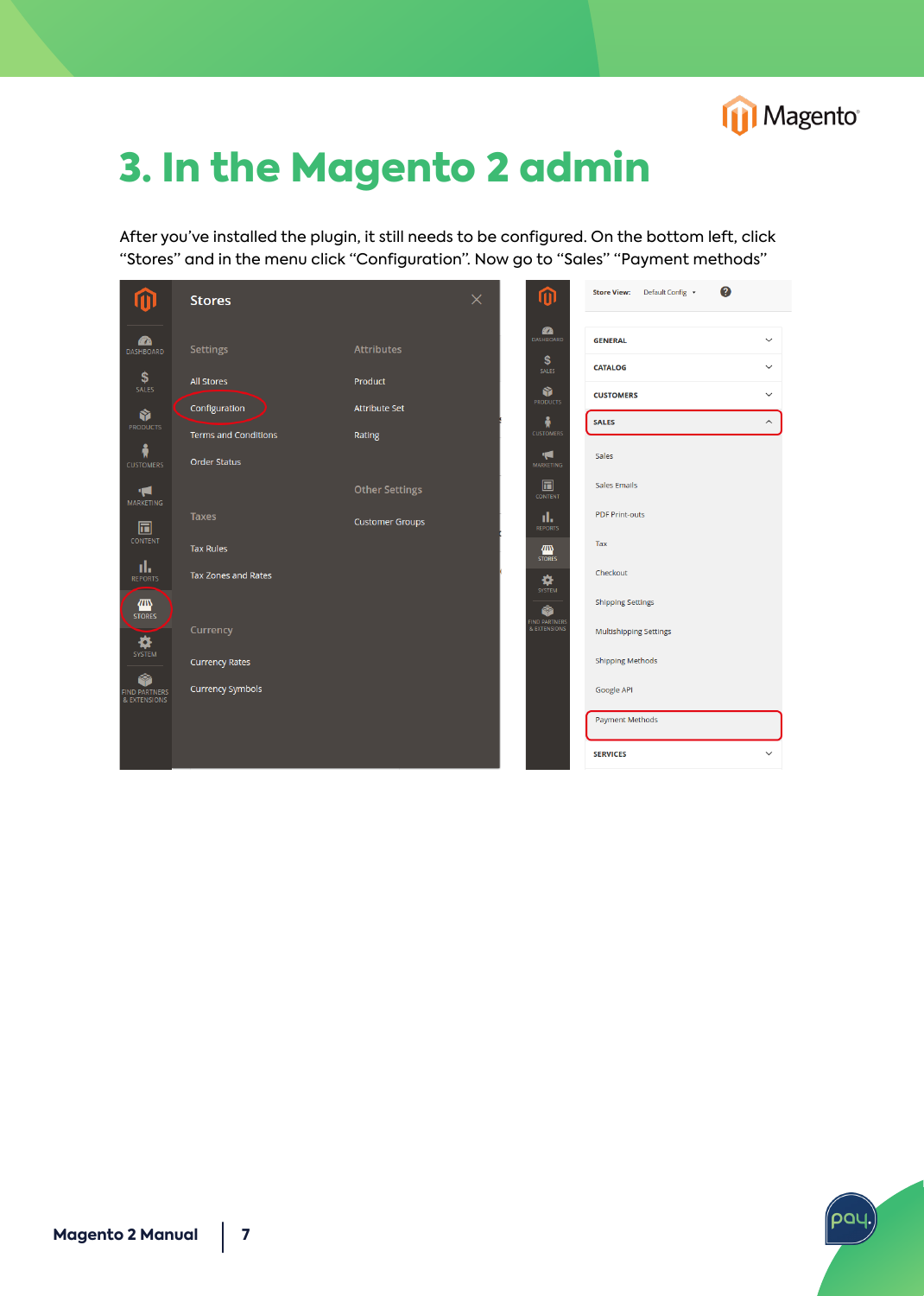

# 3. In the Magento 2 admin

After you've installed the plugin, it still needs to be configured. On the bottom left, click "Stores" and in the menu click "Configuration". Now go to "Sales" "Payment methods"



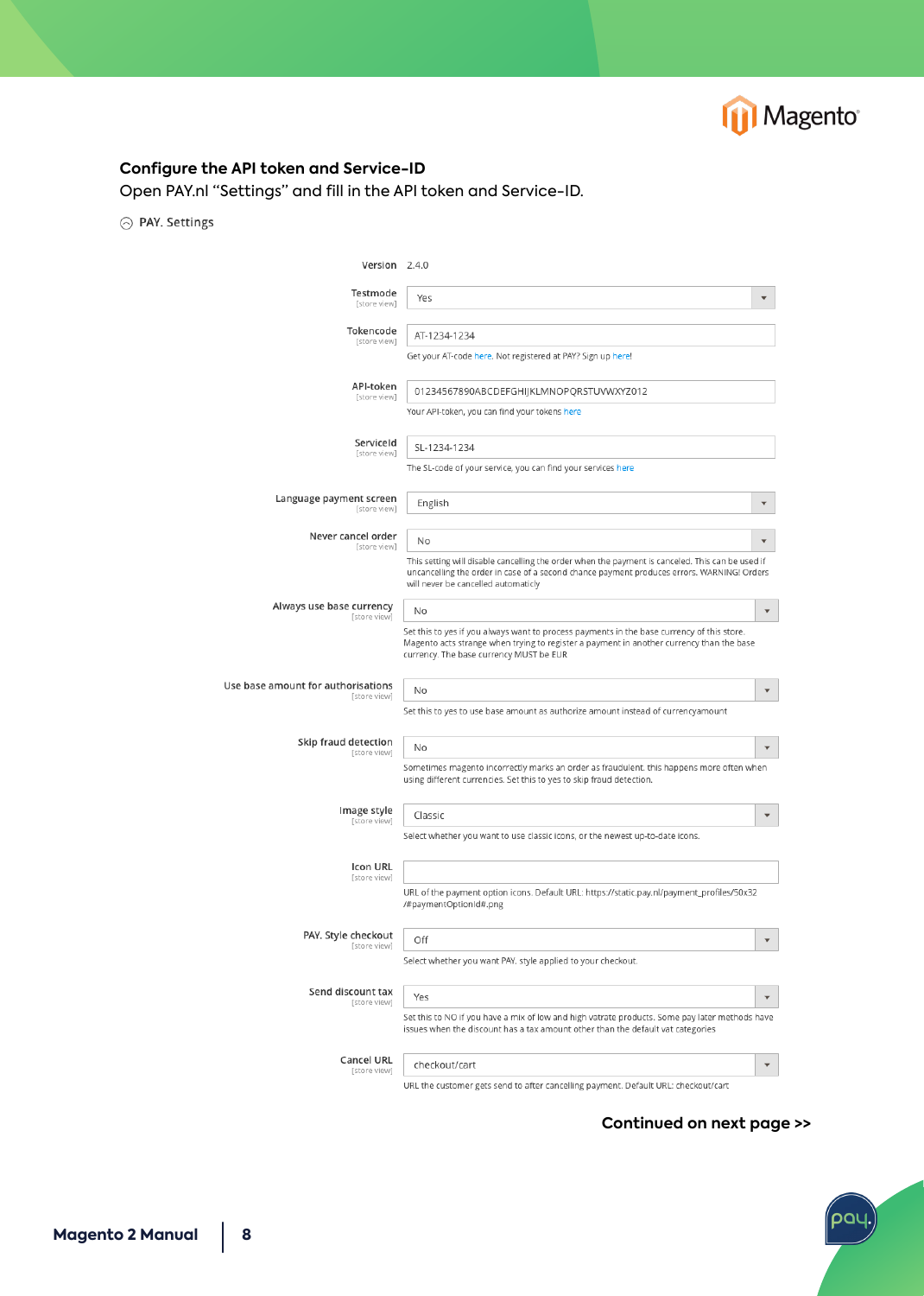

### **Configure the API token and Service-ID**

Open PAY.nl "Settings" and fill in the API token and Service-ID.

⊙ PAY. Settings

| Version 2.4.0                                      |                                                                                                                                                                                                                                       |                          |
|----------------------------------------------------|---------------------------------------------------------------------------------------------------------------------------------------------------------------------------------------------------------------------------------------|--------------------------|
| Testmode<br>[store view]                           | Yes                                                                                                                                                                                                                                   |                          |
| Tokencode<br>[store view]                          | AT-1234-1234                                                                                                                                                                                                                          |                          |
|                                                    | Get your AT-code here. Not registered at PAY? Sign up here!                                                                                                                                                                           |                          |
| API-token<br>[store view]                          | 01234567890ABCDEFGHIJKLMNOPQRSTUVWXYZ012                                                                                                                                                                                              |                          |
|                                                    | Your API-token, you can find your tokens here                                                                                                                                                                                         |                          |
| ServiceId<br>[store view]                          | SL-1234-1234                                                                                                                                                                                                                          |                          |
|                                                    | The SL-code of your service, you can find your services here                                                                                                                                                                          |                          |
| Language payment screen<br>[store view]            | English                                                                                                                                                                                                                               |                          |
| Never cancel order<br>[store view]                 | No                                                                                                                                                                                                                                    |                          |
|                                                    | This setting will disable cancelling the order when the payment is canceled. This can be used if<br>uncancelling the order in case of a second chance payment produces errors. WARNING! Orders<br>will never be cancelled automaticly |                          |
| Always use base currency<br>[store view]           | No                                                                                                                                                                                                                                    |                          |
|                                                    | Set this to yes if you always want to process payments in the base currency of this store.<br>Magento acts strange when trying to register a payment in another currency than the base<br>currency. The base currency MUST be EUR     |                          |
| Use base amount for authorisations<br>[store view] | No                                                                                                                                                                                                                                    |                          |
|                                                    | Set this to yes to use base amount as authorize amount instead of currencyamount                                                                                                                                                      |                          |
| Skip fraud detection<br>[store view]               | No                                                                                                                                                                                                                                    | $\overline{\phantom{a}}$ |
|                                                    | Sometimes magento incorrectly marks an order as fraudulent. this happens more often when<br>using different currencies. Set this to yes to skip fraud detection.                                                                      |                          |
| Image style<br>[store view]                        | Classic                                                                                                                                                                                                                               | $\mathbf{v}$             |
|                                                    | Select whether you want to use classic icons, or the newest up-to-date icons.                                                                                                                                                         |                          |
| Icon URL<br>[store view]                           |                                                                                                                                                                                                                                       |                          |
|                                                    | URL of the payment option icons. Default URL: https://static.pay.nl/payment_profiles/50x32<br>/#paymentOptionId#.png                                                                                                                  |                          |
| PAY. Style checkout<br>[store view]                | Off                                                                                                                                                                                                                                   | $\overline{\phantom{a}}$ |
|                                                    | Select whether you want PAY. style applied to your checkout.                                                                                                                                                                          |                          |
| Send discount tax<br>[store view]                  | Yes                                                                                                                                                                                                                                   |                          |
|                                                    | Set this to NO if you have a mix of low and high vatrate products. Some pay later methods have<br>issues when the discount has a tax amount other than the default vat categories                                                     |                          |
| Cancel URL<br>[store view]                         | checkout/cart                                                                                                                                                                                                                         | $\blacktriangledown$     |
|                                                    | URL the customer gets send to after cancelling payment. Default URL: checkout/cart                                                                                                                                                    |                          |

**Continued on next page >>**

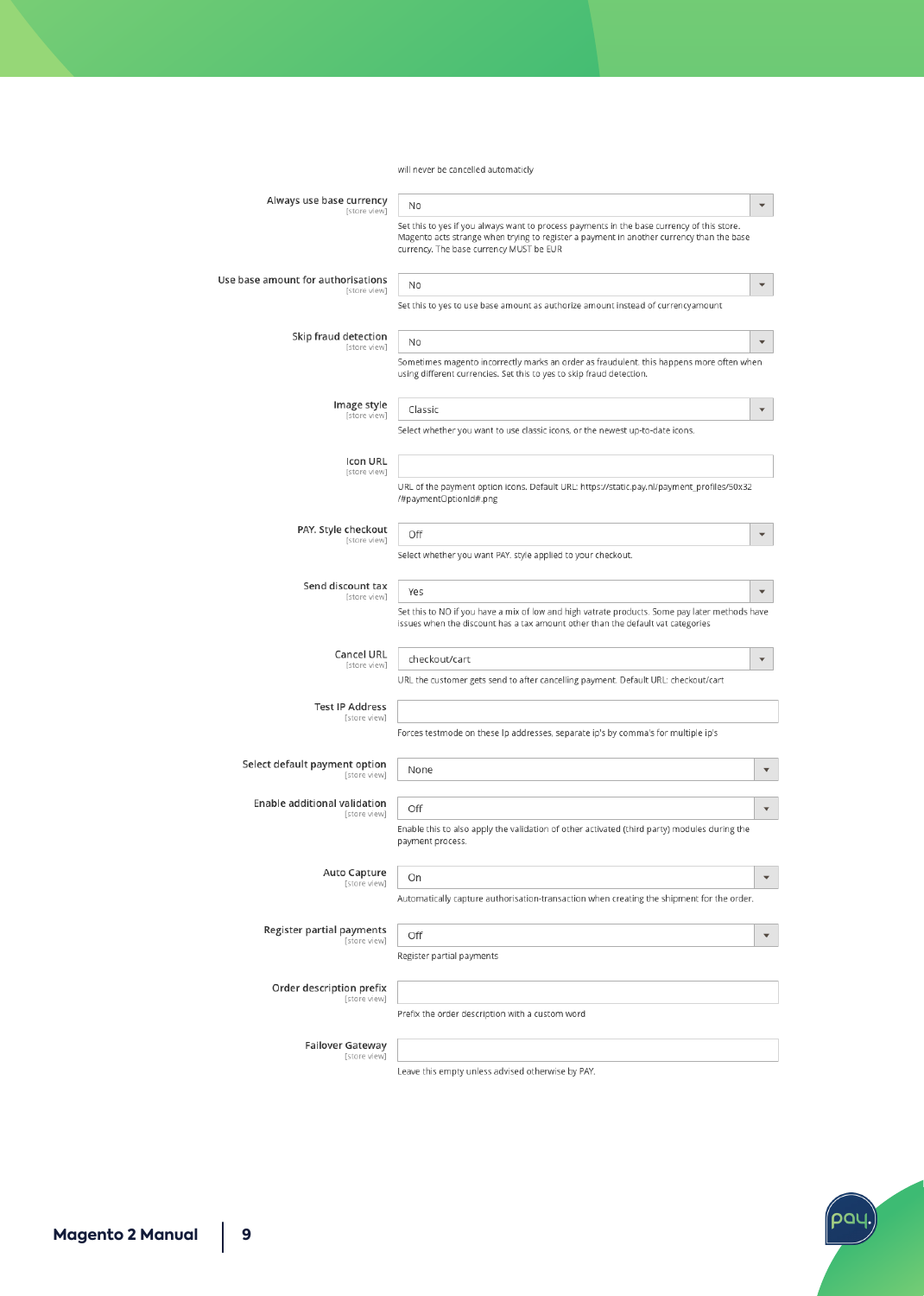will never be cancelled automaticly

| Always use base currency<br>[store view]           | No                                                                                                                                                                                                                                |                         |
|----------------------------------------------------|-----------------------------------------------------------------------------------------------------------------------------------------------------------------------------------------------------------------------------------|-------------------------|
|                                                    | Set this to yes if you always want to process payments in the base currency of this store.<br>Magento acts strange when trying to register a payment in another currency than the base<br>currency. The base currency MUST be EUR |                         |
| Use base amount for authorisations<br>[store view] | No                                                                                                                                                                                                                                | $\overline{\mathbf{v}}$ |
|                                                    | Set this to yes to use base amount as authorize amount instead of currencyamount                                                                                                                                                  |                         |
| Skip fraud detection<br>[store view]               | No                                                                                                                                                                                                                                |                         |
|                                                    | Sometimes magento incorrectly marks an order as fraudulent. this happens more often when<br>using different currencies. Set this to yes to skip fraud detection.                                                                  |                         |
| Image style<br>[store view]                        | Classic                                                                                                                                                                                                                           | $\overline{\mathbf{v}}$ |
|                                                    | Select whether you want to use classic icons, or the newest up-to-date icons.                                                                                                                                                     |                         |
| Icon URL<br>[store view]                           |                                                                                                                                                                                                                                   |                         |
|                                                    | URL of the payment option icons. Default URL: https://static.pay.nl/payment_profiles/50x32<br>/#paymentOptionId#.png                                                                                                              |                         |
| PAY. Style checkout<br>[store view]                | Off                                                                                                                                                                                                                               |                         |
|                                                    | Select whether you want PAY. style applied to your checkout.                                                                                                                                                                      |                         |
| Send discount tax<br>[store view]                  | Yes                                                                                                                                                                                                                               |                         |
|                                                    | Set this to NO if you have a mix of low and high vatrate products. Some pay later methods have<br>issues when the discount has a tax amount other than the default vat categories                                                 |                         |
| Cancel URL<br>[store view]                         | checkout/cart                                                                                                                                                                                                                     |                         |
|                                                    | URL the customer gets send to after cancelling payment. Default URL: checkout/cart                                                                                                                                                |                         |
| <b>Test IP Address</b><br>[store view]             |                                                                                                                                                                                                                                   |                         |
|                                                    | Forces testmode on these Ip addresses, separate ip's by comma's for multiple ip's                                                                                                                                                 |                         |
| Select default payment option<br>[store view]      | None                                                                                                                                                                                                                              |                         |
| Enable additional validation<br>[store view]       | Off                                                                                                                                                                                                                               |                         |
|                                                    | Enable this to also apply the validation of other activated (third party) modules during the<br>payment process.                                                                                                                  |                         |
| Auto Capture<br>[store view]                       | On                                                                                                                                                                                                                                | $\overline{\mathbf{v}}$ |
|                                                    | Automatically capture authorisation-transaction when creating the shipment for the order.                                                                                                                                         |                         |
| Register partial payments<br>[store view]          | Off                                                                                                                                                                                                                               | $\overline{\mathbf{v}}$ |
|                                                    | Register partial payments                                                                                                                                                                                                         |                         |
| Order description prefix<br>[store view]           |                                                                                                                                                                                                                                   |                         |
|                                                    | Prefix the order description with a custom word                                                                                                                                                                                   |                         |
| Failover Gateway<br>[store view]                   |                                                                                                                                                                                                                                   |                         |
|                                                    |                                                                                                                                                                                                                                   |                         |

Leave this empty unless advised otherwise by PAY.

ʹϼϭϥ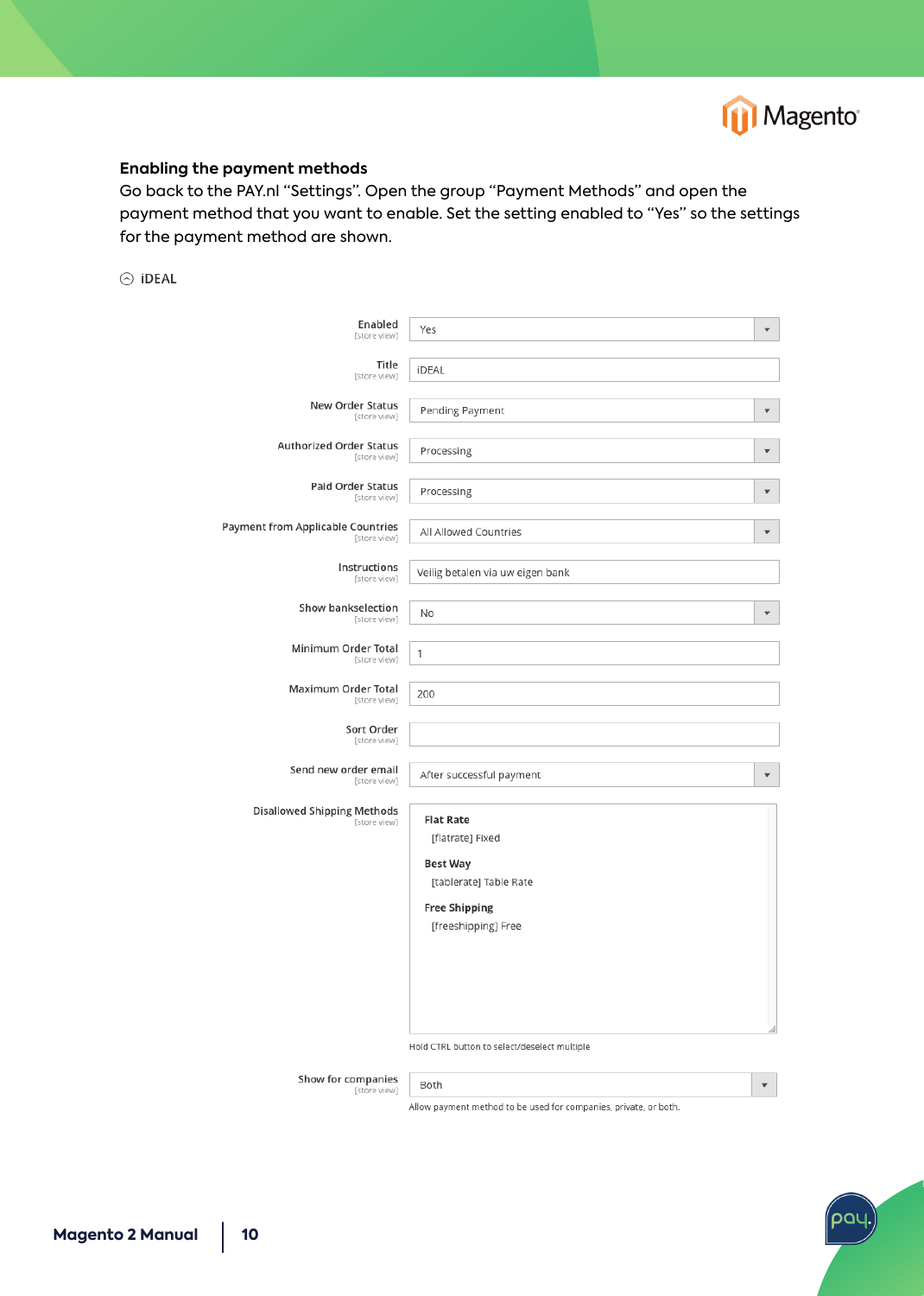

#### **Enabling the payment methods**

Go back to the PAY.nl "Settings". Open the group "Payment Methods" and open the payment method that you want to enable. Set the setting enabled to "Yes" so the settings for the payment method are shown.

 $\odot$  iDEAL

| Enabled<br>[store view]                                  | Yes                                          | $\overline{\mathbf{v}}$ |
|----------------------------------------------------------|----------------------------------------------|-------------------------|
| Title<br>[store view]                                    | <b>iDEAL</b>                                 |                         |
| New Order Status<br>[store view]                         | Pending Payment                              | $\overline{\mathbf{v}}$ |
| <b>Authorized Order Status</b><br>[store view]           | Processing                                   | $\overline{\mathbf{v}}$ |
| Paid Order Status<br>[store view]                        | Processing                                   | $\overline{\mathbf{v}}$ |
| <b>Payment from Applicable Countries</b><br>[store view] | All Allowed Countries                        | $\overline{\mathbf{v}}$ |
| Instructions<br>[store view]                             | Veilig betalen via uw eigen bank             |                         |
| Show bankselection<br>[store view]                       | No                                           | $\overline{\mathbf{v}}$ |
| Minimum Order Total<br>[store view]                      | 1                                            |                         |
| Maximum Order Total<br>[store view]                      | 200                                          |                         |
| Sort Order<br>[store view]                               |                                              |                         |
| Send new order email<br>[store view]                     | After successful payment                     | $\overline{\mathbf{v}}$ |
| Disallowed Shipping Methods                              |                                              |                         |
| [store view]                                             | <b>Flat Rate</b><br>[flatrate] Fixed         |                         |
|                                                          | <b>Best Way</b>                              |                         |
|                                                          | [tablerate] Table Rate                       |                         |
|                                                          | <b>Free Shipping</b>                         |                         |
|                                                          | [freeshipping] Free                          |                         |
|                                                          |                                              |                         |
|                                                          |                                              |                         |
|                                                          |                                              |                         |
|                                                          | Hold CTRL button to select/deselect multiple |                         |
|                                                          |                                              |                         |

Show for companies Both [store view]

 $\vert \, \, \star \, \, \vert$ 

pal

Allow payment method to be used for companies, private, or both.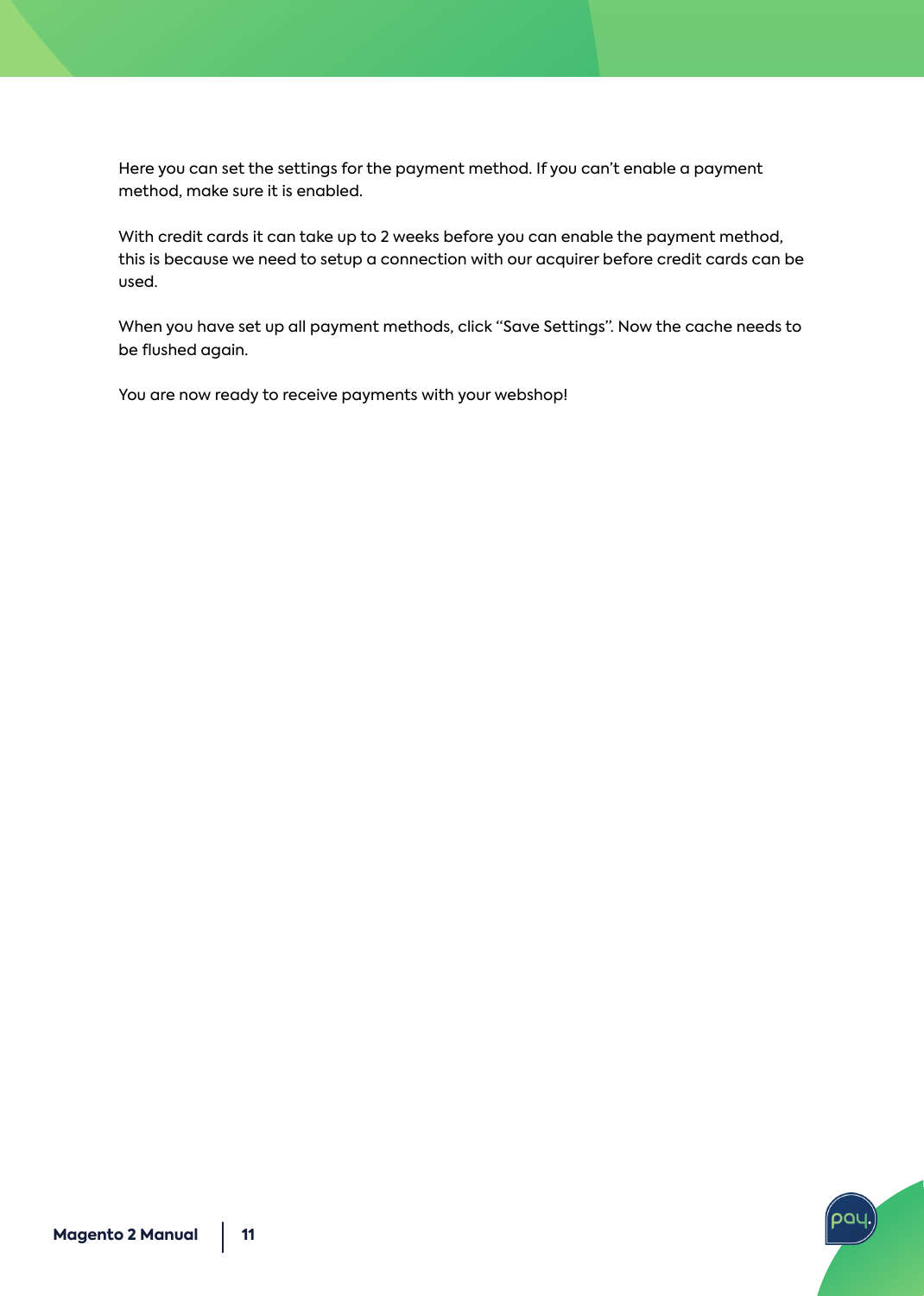Here you can set the settings for the payment method. If you can't enable a payment method, make sure it is enabled.

With credit cards it can take up to 2 weeks before you can enable the payment method, this is because we need to setup a connection with our acquirer before credit cards can be used.

When you have set up all payment methods, click "Save Settings". Now the cache needs to be flushed again.

**DC** 

You are now ready to receive payments with your webshop!